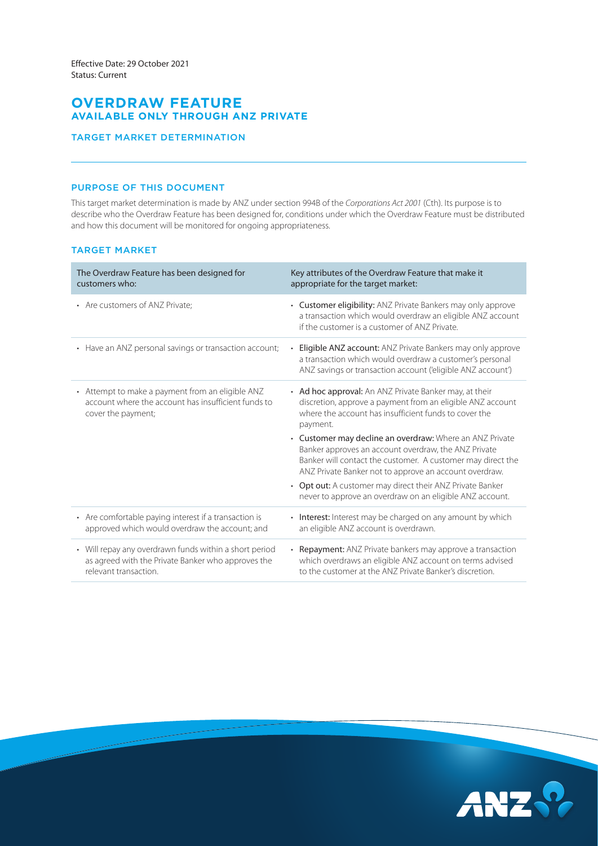# **OVERDRAW FEATURE AVAILABLE ONLY THROUGH ANZ PRIVATE**

## TARGET MARKET DETERMINATION

## PURPOSE OF THIS DOCUMENT

This target market determination is made by ANZ under section 994B of the *Corporations Act 2001* (Cth). Its purpose is to describe who the Overdraw Feature has been designed for, conditions under which the Overdraw Feature must be distributed and how this document will be monitored for ongoing appropriateness.

## TARGET MARKET

| The Overdraw Feature has been designed for<br>customers who:                                                                          | Key attributes of the Overdraw Feature that make it<br>appropriate for the target market:                                                                                                                                                 |
|---------------------------------------------------------------------------------------------------------------------------------------|-------------------------------------------------------------------------------------------------------------------------------------------------------------------------------------------------------------------------------------------|
| • Are customers of ANZ Private:                                                                                                       | • Customer eligibility: ANZ Private Bankers may only approve<br>a transaction which would overdraw an eligible ANZ account<br>if the customer is a customer of ANZ Private.                                                               |
| • Have an ANZ personal savings or transaction account;                                                                                | • Eligible ANZ account: ANZ Private Bankers may only approve<br>a transaction which would overdraw a customer's personal<br>ANZ savings or transaction account ('eligible ANZ account')                                                   |
| • Attempt to make a payment from an eligible ANZ<br>account where the account has insufficient funds to<br>cover the payment;         | • Ad hoc approval: An ANZ Private Banker may, at their<br>discretion, approve a payment from an eligible ANZ account<br>where the account has insufficient funds to cover the<br>payment.                                                 |
|                                                                                                                                       | • Customer may decline an overdraw: Where an ANZ Private<br>Banker approves an account overdraw, the ANZ Private<br>Banker will contact the customer. A customer may direct the<br>ANZ Private Banker not to approve an account overdraw. |
|                                                                                                                                       | • Opt out: A customer may direct their ANZ Private Banker<br>never to approve an overdraw on an eligible ANZ account.                                                                                                                     |
| • Are comfortable paying interest if a transaction is<br>approved which would overdraw the account; and                               | Interest: Interest may be charged on any amount by which<br>an eligible ANZ account is overdrawn.                                                                                                                                         |
| • Will repay any overdrawn funds within a short period<br>as agreed with the Private Banker who approves the<br>relevant transaction. | • Repayment: ANZ Private bankers may approve a transaction<br>which overdraws an eligible ANZ account on terms advised<br>to the customer at the ANZ Private Banker's discretion.                                                         |

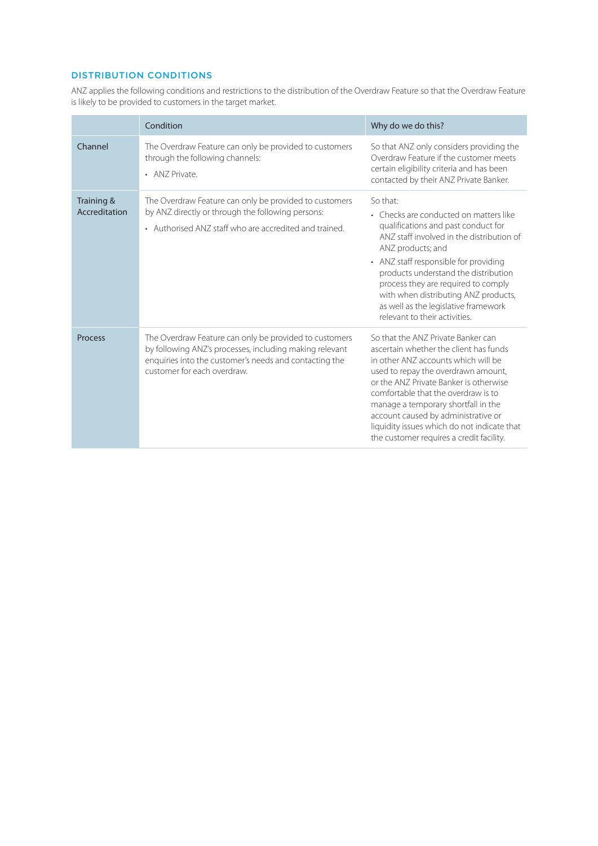## DISTRIBUTION CONDITIONS

ANZ applies the following conditions and restrictions to the distribution of the Overdraw Feature so that the Overdraw Feature is likely to be provided to customers in the target market.

|                             | Condition                                                                                                                                                                                                  | Why do we do this?                                                                                                                                                                                                                                                                                                                                                                                                   |
|-----------------------------|------------------------------------------------------------------------------------------------------------------------------------------------------------------------------------------------------------|----------------------------------------------------------------------------------------------------------------------------------------------------------------------------------------------------------------------------------------------------------------------------------------------------------------------------------------------------------------------------------------------------------------------|
| Channel                     | The Overdraw Feature can only be provided to customers<br>through the following channels:<br>• ANZ Private.                                                                                                | So that ANZ only considers providing the<br>Overdraw Feature if the customer meets<br>certain eligibility criteria and has been<br>contacted by their ANZ Private Banker.                                                                                                                                                                                                                                            |
| Training &<br>Accreditation | The Overdraw Feature can only be provided to customers<br>by ANZ directly or through the following persons:<br>• Authorised ANZ staff who are accredited and trained.                                      | So that:<br>• Checks are conducted on matters like<br>qualifications and past conduct for<br>ANZ staff involved in the distribution of<br>ANZ products; and<br>• ANZ staff responsible for providing<br>products understand the distribution<br>process they are required to comply<br>with when distributing ANZ products,<br>as well as the legislative framework<br>relevant to their activities.                 |
| Process                     | The Overdraw Feature can only be provided to customers<br>by following ANZ's processes, including making relevant<br>enquiries into the customer's needs and contacting the<br>customer for each overdraw. | So that the ANZ Private Banker can<br>ascertain whether the client has funds<br>in other ANZ accounts which will be<br>used to repay the overdrawn amount,<br>or the ANZ Private Banker is otherwise<br>comfortable that the overdraw is to<br>manage a temporary shortfall in the<br>account caused by administrative or<br>liquidity issues which do not indicate that<br>the customer requires a credit facility. |